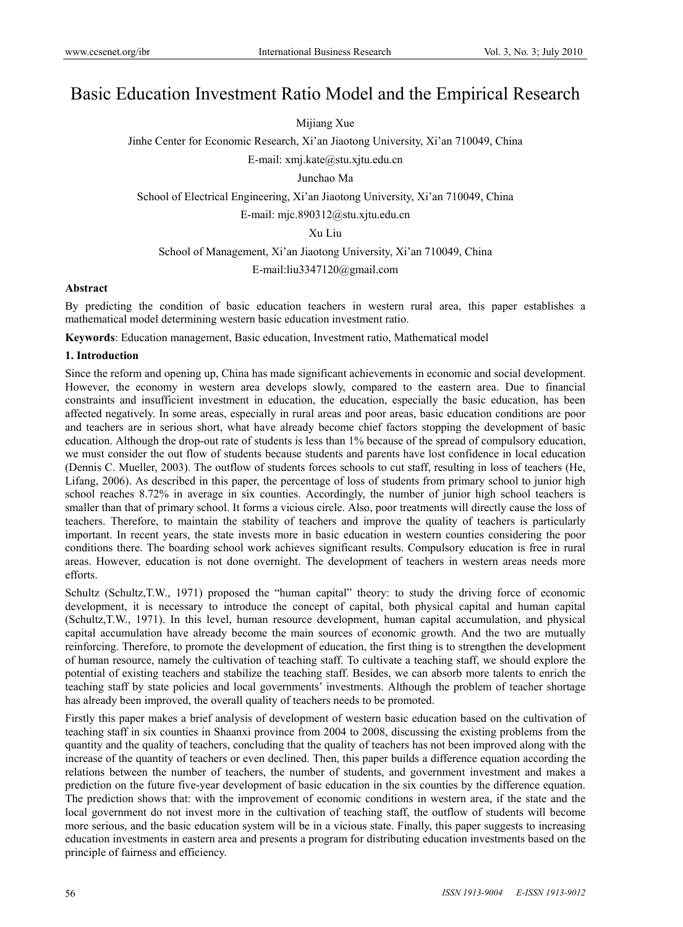# Basic Education Investment Ratio Model and the Empirical Research

Mijiang Xue

Jinhe Center for Economic Research, Xi'an Jiaotong University, Xi'an 710049, China

E-mail: xmj.kate@stu.xjtu.edu.cn

Junchao Ma

School of Electrical Engineering, Xi'an Jiaotong University, Xi'an 710049, China E-mail: mjc.890312@stu.xjtu.edu.cn

# Xu Liu

# School of Management, Xi'an Jiaotong University, Xi'an 710049, China

E-mail:liu3347120@gmail.com

#### **Abstract**

By predicting the condition of basic education teachers in western rural area, this paper establishes a mathematical model determining western basic education investment ratio.

**Keywords**: Education management, Basic education, Investment ratio, Mathematical model

## **1. Introduction**

Since the reform and opening up, China has made significant achievements in economic and social development. However, the economy in western area develops slowly, compared to the eastern area. Due to financial constraints and insufficient investment in education, the education, especially the basic education, has been affected negatively. In some areas, especially in rural areas and poor areas, basic education conditions are poor and teachers are in serious short, what have already become chief factors stopping the development of basic education. Although the drop-out rate of students is less than 1% because of the spread of compulsory education, we must consider the out flow of students because students and parents have lost confidence in local education (Dennis C. Mueller, 2003). The outflow of students forces schools to cut staff, resulting in loss of teachers (He, Lifang, 2006). As described in this paper, the percentage of loss of students from primary school to junior high school reaches 8.72% in average in six counties. Accordingly, the number of junior high school teachers is smaller than that of primary school. It forms a vicious circle. Also, poor treatments will directly cause the loss of teachers. Therefore, to maintain the stability of teachers and improve the quality of teachers is particularly important. In recent years, the state invests more in basic education in western counties considering the poor conditions there. The boarding school work achieves significant results. Compulsory education is free in rural areas. However, education is not done overnight. The development of teachers in western areas needs more efforts.

Schultz (Schultz,T.W., 1971) proposed the "human capital" theory: to study the driving force of economic development, it is necessary to introduce the concept of capital, both physical capital and human capital (Schultz,T.W., 1971). In this level, human resource development, human capital accumulation, and physical capital accumulation have already become the main sources of economic growth. And the two are mutually reinforcing. Therefore, to promote the development of education, the first thing is to strengthen the development of human resource, namely the cultivation of teaching staff. To cultivate a teaching staff, we should explore the potential of existing teachers and stabilize the teaching staff. Besides, we can absorb more talents to enrich the teaching staff by state policies and local governments' investments. Although the problem of teacher shortage has already been improved, the overall quality of teachers needs to be promoted.

Firstly this paper makes a brief analysis of development of western basic education based on the cultivation of teaching staff in six counties in Shaanxi province from 2004 to 2008, discussing the existing problems from the quantity and the quality of teachers, concluding that the quality of teachers has not been improved along with the increase of the quantity of teachers or even declined. Then, this paper builds a difference equation according the relations between the number of teachers, the number of students, and government investment and makes a prediction on the future five-year development of basic education in the six counties by the difference equation. The prediction shows that: with the improvement of economic conditions in western area, if the state and the local government do not invest more in the cultivation of teaching staff, the outflow of students will become more serious, and the basic education system will be in a vicious state. Finally, this paper suggests to increasing education investments in eastern area and presents a program for distributing education investments based on the principle of fairness and efficiency.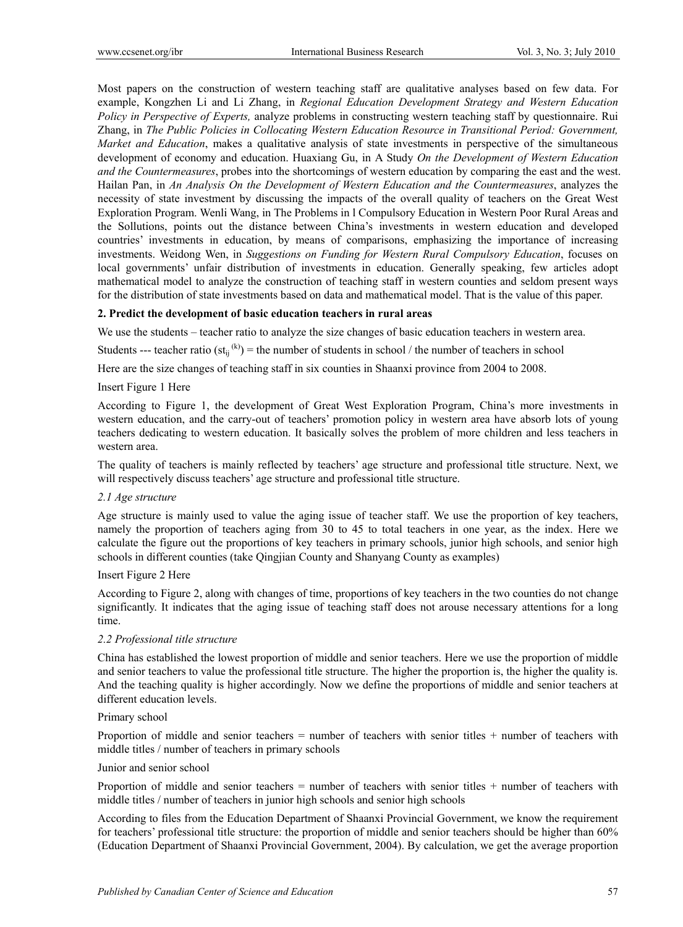Most papers on the construction of western teaching staff are qualitative analyses based on few data. For example, Kongzhen Li and Li Zhang, in *Regional Education Development Strategy and Western Education Policy in Perspective of Experts,* analyze problems in constructing western teaching staff by questionnaire. Rui Zhang, in *The Public Policies in Collocating Western Education Resource in Transitional Period: Government, Market and Education*, makes a qualitative analysis of state investments in perspective of the simultaneous development of economy and education. Huaxiang Gu, in A Study *On the Development of Western Education and the Countermeasures*, probes into the shortcomings of western education by comparing the east and the west. Hailan Pan, in *An Analysis On the Development of Western Education and the Countermeasures*, analyzes the necessity of state investment by discussing the impacts of the overall quality of teachers on the Great West Exploration Program. Wenli Wang, in The Problems in l Compulsory Education in Western Poor Rural Areas and the Sollutions, points out the distance between China's investments in western education and developed countries' investments in education, by means of comparisons, emphasizing the importance of increasing investments. Weidong Wen, in *Suggestions on Funding for Western Rural Compulsory Education*, focuses on local governments' unfair distribution of investments in education. Generally speaking, few articles adopt mathematical model to analyze the construction of teaching staff in western counties and seldom present ways for the distribution of state investments based on data and mathematical model. That is the value of this paper.

# **2. Predict the development of basic education teachers in rural areas**

We use the students – teacher ratio to analyze the size changes of basic education teachers in western area.

Students --- teacher ratio  $(st_{ij}^{(k)})$  = the number of students in school / the number of teachers in school

Here are the size changes of teaching staff in six counties in Shaanxi province from 2004 to 2008.

# Insert Figure 1 Here

According to Figure 1, the development of Great West Exploration Program, China's more investments in western education, and the carry-out of teachers' promotion policy in western area have absorb lots of young teachers dedicating to western education. It basically solves the problem of more children and less teachers in western area.

The quality of teachers is mainly reflected by teachers' age structure and professional title structure. Next, we will respectively discuss teachers' age structure and professional title structure.

#### *2.1 Age structure*

Age structure is mainly used to value the aging issue of teacher staff. We use the proportion of key teachers, namely the proportion of teachers aging from 30 to 45 to total teachers in one year, as the index. Here we calculate the figure out the proportions of key teachers in primary schools, junior high schools, and senior high schools in different counties (take Qingjian County and Shanyang County as examples)

#### Insert Figure 2 Here

According to Figure 2, along with changes of time, proportions of key teachers in the two counties do not change significantly. It indicates that the aging issue of teaching staff does not arouse necessary attentions for a long time.

#### *2.2 Professional title structure*

China has established the lowest proportion of middle and senior teachers. Here we use the proportion of middle and senior teachers to value the professional title structure. The higher the proportion is, the higher the quality is. And the teaching quality is higher accordingly. Now we define the proportions of middle and senior teachers at different education levels.

#### Primary school

Proportion of middle and senior teachers = number of teachers with senior titles + number of teachers with middle titles / number of teachers in primary schools

## Junior and senior school

Proportion of middle and senior teachers  $=$  number of teachers with senior titles  $+$  number of teachers with middle titles / number of teachers in junior high schools and senior high schools

According to files from the Education Department of Shaanxi Provincial Government, we know the requirement for teachers' professional title structure: the proportion of middle and senior teachers should be higher than 60% (Education Department of Shaanxi Provincial Government, 2004). By calculation, we get the average proportion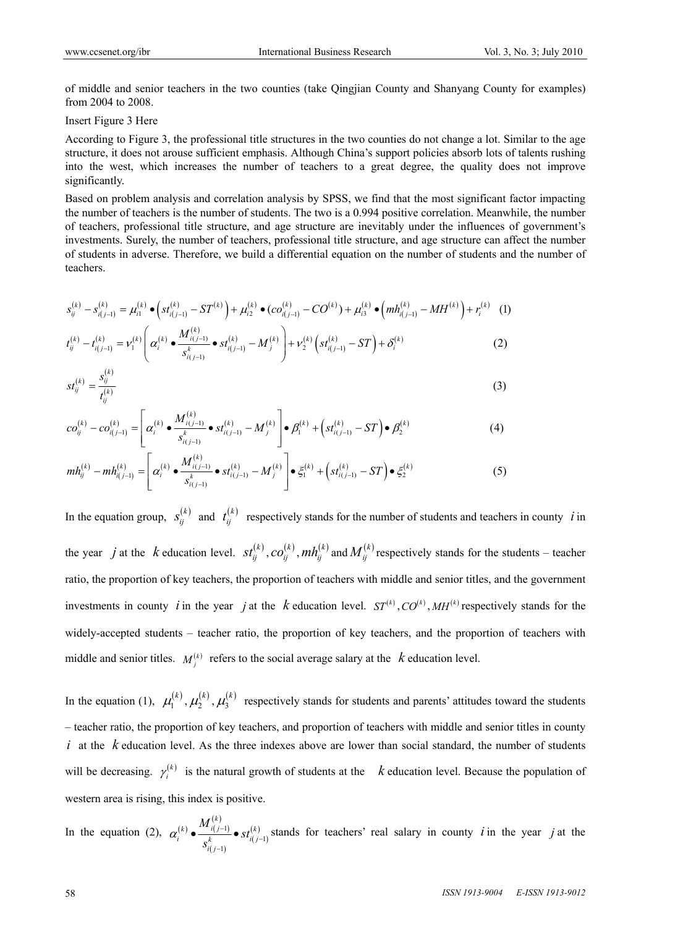of middle and senior teachers in the two counties (take Qingjian County and Shanyang County for examples) from 2004 to 2008.

# Insert Figure 3 Here

According to Figure 3, the professional title structures in the two counties do not change a lot. Similar to the age structure, it does not arouse sufficient emphasis. Although China's support policies absorb lots of talents rushing into the west, which increases the number of teachers to a great degree, the quality does not improve significantly.

Based on problem analysis and correlation analysis by SPSS, we find that the most significant factor impacting the number of teachers is the number of students. The two is a 0.994 positive correlation. Meanwhile, the number of teachers, professional title structure, and age structure are inevitably under the influences of government's investments. Surely, the number of teachers, professional title structure, and age structure can affect the number of students in adverse. Therefore, we build a differential equation on the number of students and the number of teachers.

$$
s_{ij}^{(k)} - s_{i(j-1)}^{(k)} = \mu_{i1}^{(k)} \bullet \left(s t_{i(j-1)}^{(k)} - S T^{(k)}\right) + \mu_{i2}^{(k)} \bullet (co_{i(j-1)}^{(k)} - C O^{(k)}) + \mu_{i3}^{(k)} \bullet \left(m h_{i(j-1)}^{(k)} - M H^{(k)}\right) + r_i^{(k)} \quad (1)
$$
  

$$
t_{ij}^{(k)} - t_{i(j-1)}^{(k)} = \nu_1^{(k)} \left(\alpha_i^{(k)} \bullet \frac{M_{i(j-1)}^{(k)}}{s_{i(j-1)}^{(k)}} \bullet s t_{i(j-1)}^{(k)} - M_j^{(k)}\right) + \nu_2^{(k)} \left(s t_{i(j-1)}^{(k)} - S T\right) + \delta_i^{(k)} \quad (2)
$$

$$
st_{ij}^{(k)} = \frac{s_{ij}^{(k)}}{t_{ij}^{(k)}}
$$
(3)

$$
co_{ij}^{(k)} - co_{i(j-1)}^{(k)} = \left[ \alpha_i^{(k)} \bullet \frac{M_{i(j-1)}^{(k)}}{s_{i(j-1)}^k} \bullet st_{i(j-1)}^{(k)} - M_j^{(k)} \right] \bullet \beta_1^{(k)} + \left(st_{i(j-1)}^{(k)} - ST \right) \bullet \beta_2^{(k)}
$$
(4)

$$
mh_{ij}^{(k)} - mh_{i(j-1)}^{(k)} = \left[\alpha_i^{(k)} \bullet \frac{M_{i(j-1)}^{(k)}}{s_{i(j-1)}^k} \bullet st_{i(j-1)}^{(k)} - M_j^{(k)}\right] \bullet \xi_1^{(k)} + \left(st_{i(j-1)}^{(k)} - ST\right) \bullet \xi_2^{(k)} \tag{5}
$$

In the equation group,  $s_{ij}^{(k)}$  and  $t_{ij}^{(k)}$  respectively stands for the number of students and teachers in county *i* in the year *j* at the *k* education level.  $st_{ij}^{(k)}$ ,  $co_{ij}^{(k)}$ ,  $mh_{ij}^{(k)}$  and  $M_{ij}^{(k)}$  respectively stands for the students – teacher ratio, the proportion of key teachers, the proportion of teachers with middle and senior titles, and the government investments in county *i* in the year *j* at the *k* education level.  $ST^{(k)}$ ,  $CO^{(k)}$ ,  $MH^{(k)}$  respectively stands for the widely-accepted students – teacher ratio, the proportion of key teachers, and the proportion of teachers with middle and senior titles.  $M_j^{(k)}$  refers to the social average salary at the *k* education level.

In the equation (1),  $\mu_1^{(k)}$  $\mu_\text{l}^{(k)}$  ,  $\mu_\text{2}^{(k)}$  $\mu_2^{(k)}, \mu_3^{(k)}$  $\mu_{i}^{(k)}$  respectively stands for students and parents' attitudes toward the students – teacher ratio, the proportion of key teachers, and proportion of teachers with middle and senior titles in county  $i$  at the  $k$  education level. As the three indexes above are lower than social standard, the number of students will be decreasing.  $\gamma_i^{(k)}$  is the natural growth of students at the *k* education level. Because the population of western area is rising, this index is positive.

In the equation (2),  $\alpha^{(k)} \bullet \frac{m \cdot i(j-1)}{j!}$  $(k)$  $_{(j-1)}$  $(j-1)$ 1)  $\epsilon$  (k) 1 1 *k k*  $\binom{1}{i}$   $\binom{i}{j-1}$   $\binom{k}{j}$  $i \frac{k}{\delta k}$   $\sigma_i$   $i(j)$ *i j M st s*  $\alpha_i^{(k)} \bullet \frac{M_{i(j-1)}}{k} \bullet st_{i(j-1)}^{(k)}$ −  $\bullet \frac{M_i^2(i-1)}{k} \bullet st_i^{(k)}$  stands for teachers' real salary in county *i* in the year *j* at the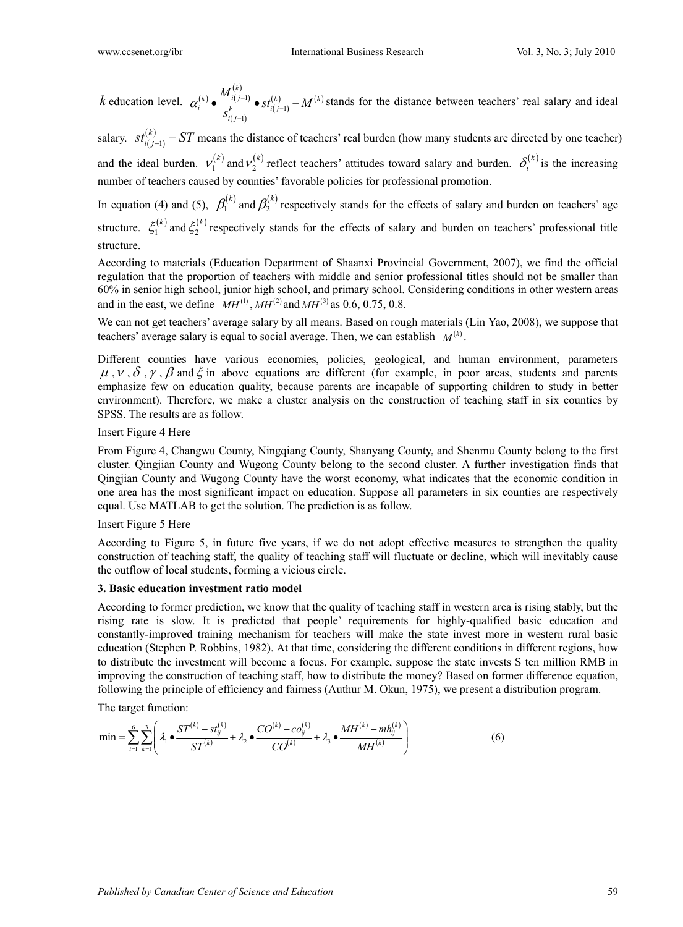*k* education level.  $\alpha_i^{(k)} \bullet \frac{M_{i(j-1)}^{(k)}}{I}$  $_{(j-1)}$  $(j-1)$ 1)  $\epsilon^{(k)}$   $M^{(k)}$ 1 1 *k*  $k = \int_0^{\infty} i (j-1) \cos(k)$  *if*  $k$  $i \rightarrow k$   $J_i(j)$ *i j M*  $st^{(k)}_{i(i-1)} - M$ *s*  $\alpha_i^{(k)} \bullet \frac{M_i(j-1)}{k} \bullet st_{i(j-1)}^{(k)}$ −  $\bullet$   $\frac{f^{(k)}(j-1)}{k}$   $\bullet$   $st^{(k)}_{i(i-1)} - M^{(k)}$  stands for the distance between teachers' real salary and ideal

salary.  $st^{(k)}_{i(j-1)}$ 1  $st^{(k)}_{i(j-1)}$  − *ST* means the distance of teachers' real burden (how many students are directed by one teacher) and the ideal burden.  $v_1^{(k)}$  $v_1^{(k)}$  and  $v_2^{(k)}$  $v_2^{(k)}$  reflect teachers' attitudes toward salary and burden.  $\delta_i^{(k)}$  is the increasing number of teachers caused by counties' favorable policies for professional promotion.

In equation (4) and (5),  $\beta_1^{(k)}$  and  $\beta_2^{(k)}$  respectively stands for the effects of salary and burden on teachers' age structure.  $\xi_1^{(k)}$  and  $\xi_2^{(k)}$  respectively stands for the effects of salary and burden on teachers' professional title structure.

According to materials (Education Department of Shaanxi Provincial Government, 2007), we find the official regulation that the proportion of teachers with middle and senior professional titles should not be smaller than 60% in senior high school, junior high school, and primary school. Considering conditions in other western areas and in the east, we define  $MH^{(1)}$ ,  $MH^{(2)}$  and  $MH^{(3)}$  as 0.6, 0.75, 0.8.

We can not get teachers' average salary by all means. Based on rough materials (Lin Yao, 2008), we suppose that teachers' average salary is equal to social average. Then, we can establish  $M^{(k)}$ .

Different counties have various economies, policies, geological, and human environment, parameters  $\mu$ ,  $\nu$ ,  $\delta$ ,  $\gamma$ ,  $\beta$  and  $\xi$  in above equations are different (for example, in poor areas, students and parents emphasize few on education quality, because parents are incapable of supporting children to study in better environment). Therefore, we make a cluster analysis on the construction of teaching staff in six counties by SPSS. The results are as follow.

#### Insert Figure 4 Here

From Figure 4, Changwu County, Ningqiang County, Shanyang County, and Shenmu County belong to the first cluster. Qingjian County and Wugong County belong to the second cluster. A further investigation finds that Qingjian County and Wugong County have the worst economy, what indicates that the economic condition in one area has the most significant impact on education. Suppose all parameters in six counties are respectively equal. Use MATLAB to get the solution. The prediction is as follow.

#### Insert Figure 5 Here

According to Figure 5, in future five years, if we do not adopt effective measures to strengthen the quality construction of teaching staff, the quality of teaching staff will fluctuate or decline, which will inevitably cause the outflow of local students, forming a vicious circle.

#### **3. Basic education investment ratio model**

According to former prediction, we know that the quality of teaching staff in western area is rising stably, but the rising rate is slow. It is predicted that people' requirements for highly-qualified basic education and constantly-improved training mechanism for teachers will make the state invest more in western rural basic education (Stephen P. Robbins, 1982). At that time, considering the different conditions in different regions, how to distribute the investment will become a focus. For example, suppose the state invests S ten million RMB in improving the construction of teaching staff, how to distribute the money? Based on former difference equation, following the principle of efficiency and fairness (Authur M. Okun, 1975), we present a distribution program.

The target function:

$$
\min = \sum_{i=1}^{6} \sum_{k=1}^{3} \left( \lambda_1 \bullet \frac{ST^{(k)} - st_{ij}^{(k)}}{ST^{(k)}} + \lambda_2 \bullet \frac{CO^{(k)} - co_{ij}^{(k)}}{CO^{(k)}} + \lambda_3 \bullet \frac{MH^{(k)} - mh_{ij}^{(k)}}{MH^{(k)}} \right) \tag{6}
$$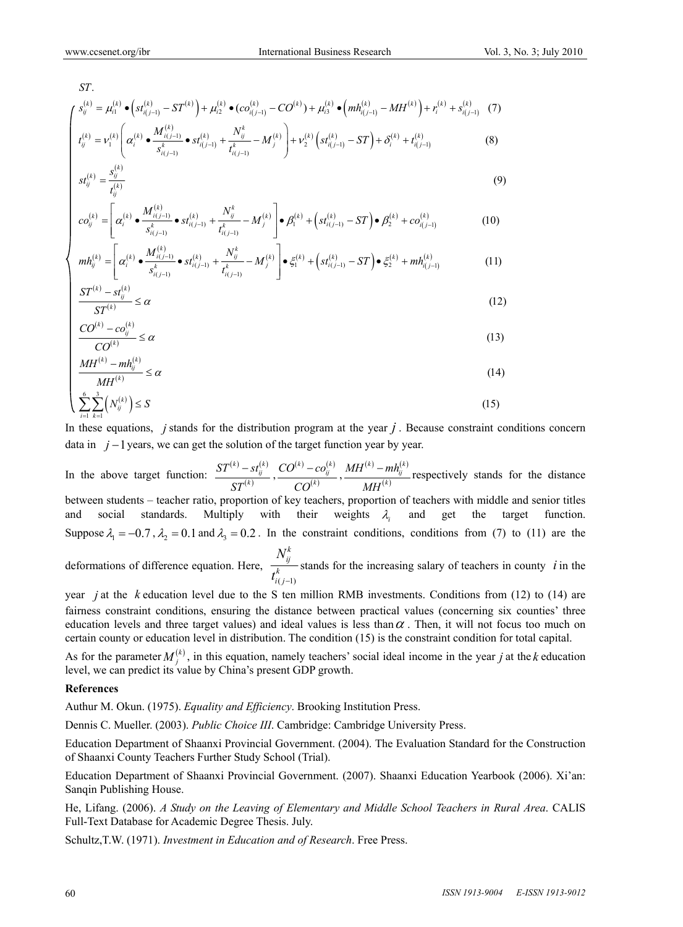. *ST*

$$
s_{ij}^{(k)} = \mu_{i1}^{(k)} \bullet \left(s t_{i(j-1)}^{(k)} - S T^{(k)}\right) + \mu_{i2}^{(k)} \bullet (co_{i(j-1)}^{(k)} - CO^{(k)}) + \mu_{i3}^{(k)} \bullet \left(m h_{i(j-1)}^{(k)} - M H^{(k)}\right) + r_i^{(k)} + s_{i(j-1)}^{(k)} \tag{7}
$$
\n
$$
t_{ij}^{(k)} = v_1^{(k)} \left(\alpha_i^{(k)} \bullet \frac{M_{i(j-1)}^{(k)}}{s_{i(j-1)}^{(k)}} \bullet s t_{i(j-1)}^{(k)} + \frac{N_{ij}^k}{t_{i(j-1)}^{(k)}} - M_j^{(k)}\right) + v_2^{(k)} \left(s t_{i(j-1)}^{(k)} - S T\right) + \delta_i^{(k)} + t_{i(j-1)}^{(k)} \tag{8}
$$

$$
st_{ij}^{(k)} = \frac{s_{ij}^{(k)}}{t_{ij}^{(k)}}
$$
(9)

$$
co_{ij}^{(k)} = \left[\alpha_i^{(k)} \bullet \frac{M_{i(j-1)}^{(k)}}{s_{i(j-1)}^k} \bullet st_{i(j-1)}^{(k)} + \frac{N_{ij}^k}{t_{i(j-1)}^k} - M_j^{(k)}\right] \bullet \beta_1^{(k)} + \left(st_{i(j-1)}^{(k)} - ST\right) \bullet \beta_2^{(k)} + co_{i(j-1)}^{(k)} \tag{10}
$$

$$
mh_{ij}^{(k)} = \left[\alpha_i^{(k)} \bullet \frac{M_{i(j-1)}^{(k)}}{s_{i(j-1)}^k} \bullet st_{i(j-1)}^{(k)} + \frac{N_{ij}^k}{t_{i(j-1)}^k} - M_j^{(k)}\right] \bullet \xi_1^{(k)} + \left(st_{i(j-1)}^{(k)} - ST\right) \bullet \xi_2^{(k)} + mh_{i(j-1)}^{(k)} \tag{11}
$$

$$
\frac{ST^{(k)} - st_{ij}^{(k)}}{ST^{(k)}} \le \alpha \tag{12}
$$

$$
\frac{CO^{(k)} - co^{(k)}_{ij}}{CO^{(k)}} \le \alpha \tag{13}
$$

$$
\frac{MH^{(k)} - mh_{ij}^{(k)}}{MH^{(k)}} \le \alpha \tag{14}
$$

$$
\left(\sum_{i=1}^{6} \sum_{k=1}^{3} \left(N_{ij}^{(k)}\right) \le S\right) \tag{15}
$$

 $(j-1)$ 

*i j*

In these equations, *j* stands for the distribution program at the year *j* . Because constraint conditions concern data in  $j-1$  years, we can get the solution of the target function year by year.

In the above target function:  $\frac{ST^{(k)} - st_{ij}^{(k)}}{ST^{(k)} - st_{ij}^{(k)}}$  $(k)$  $\left( k \right) - s t_{ij}^{(k)}$ *k*  $ST^{(k)} - st$ *ST*  $\frac{-st_{ij}^{(k)}}{n}$ ,  $\overline{CO^{(k)}-co_{ij}^{(k)}}$  $(k)$  $\left( k \right) - co^{(k)}_{ij}$ *k*  $CO^{(k)}$  – co *CO*  $\frac{-co^{(k)}_{ij}}{m}$ ,  $\frac{MH^{(k)}-mh^{(k)}_{ij}}{m}$  $(k)$  $k)$  —  $mh_{ij}^{(k)}$ *k*  $\mathit{MH}^{\left(k\right)}$  –  $\mathit{mh}$ *MH*  $-\frac{m h_{ij}^{(k)}}{m}$  respectively stands for the distance between students – teacher ratio, proportion of key teachers, proportion of teachers with middle and senior titles and social standards. Multiply with their weights  $\lambda_i$  and get the target function. Suppose  $\lambda_1 = -0.7$ ,  $\lambda_2 = 0.1$  and  $\lambda_3 = 0.2$ . In the constraint conditions, conditions from (7) to (11) are the deformations of difference equation. Here, *k ij k N*  $t_{i(j-1)}^k$ stands for the increasing salary of teachers in county *i* in the

year *j* at the *k* education level due to the S ten million RMB investments. Conditions from (12) to (14) are fairness constraint conditions, ensuring the distance between practical values (concerning six counties' three education levels and three target values) and ideal values is less than  $\alpha$ . Then, it will not focus too much on certain county or education level in distribution. The condition (15) is the constraint condition for total capital.

As for the parameter  $M_i^{(k)}$ , in this equation, namely teachers' social ideal income in the year *j* at the *k* education level, we can predict its value by China's present GDP growth.

#### **References**

Authur M. Okun. (1975). *Equality and Efficiency*. Brooking Institution Press.

Dennis C. Mueller. (2003). *Public Choice III*. Cambridge: Cambridge University Press.

Education Department of Shaanxi Provincial Government. (2004). The Evaluation Standard for the Construction of Shaanxi County Teachers Further Study School (Trial).

Education Department of Shaanxi Provincial Government. (2007). Shaanxi Education Yearbook (2006). Xi'an: Sanqin Publishing House.

He, Lifang. (2006). *A Study on the Leaving of Elementary and Middle School Teachers in Rural Area*. CALIS Full-Text Database for Academic Degree Thesis. July.

Schultz,T.W. (1971). *Investment in Education and of Research*. Free Press.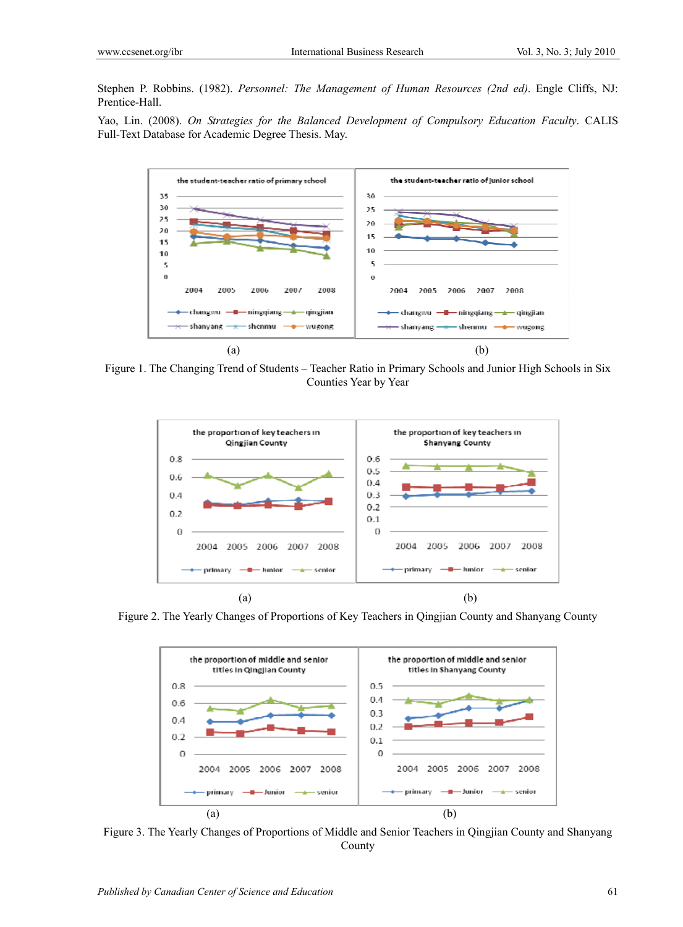Stephen P. Robbins. (1982). *Personnel: The Management of Human Resources (2nd ed)*. Engle Cliffs, NJ: Prentice-Hall.

Yao, Lin. (2008). *On Strategies for the Balanced Development of Compulsory Education Faculty*. CALIS Full-Text Database for Academic Degree Thesis. May.



Figure 1. The Changing Trend of Students – Teacher Ratio in Primary Schools and Junior High Schools in Six Counties Year by Year



Figure 2. The Yearly Changes of Proportions of Key Teachers in Qingjian County and Shanyang County



Figure 3. The Yearly Changes of Proportions of Middle and Senior Teachers in Qingjian County and Shanyang County